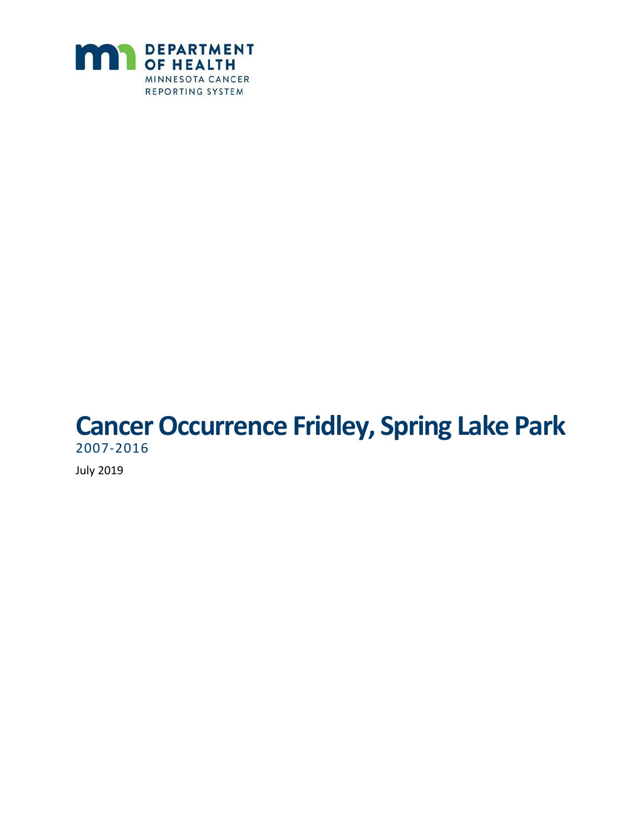

## **Cancer Occurrence Fridley, Spring Lake Park** 2007-2016

July 2019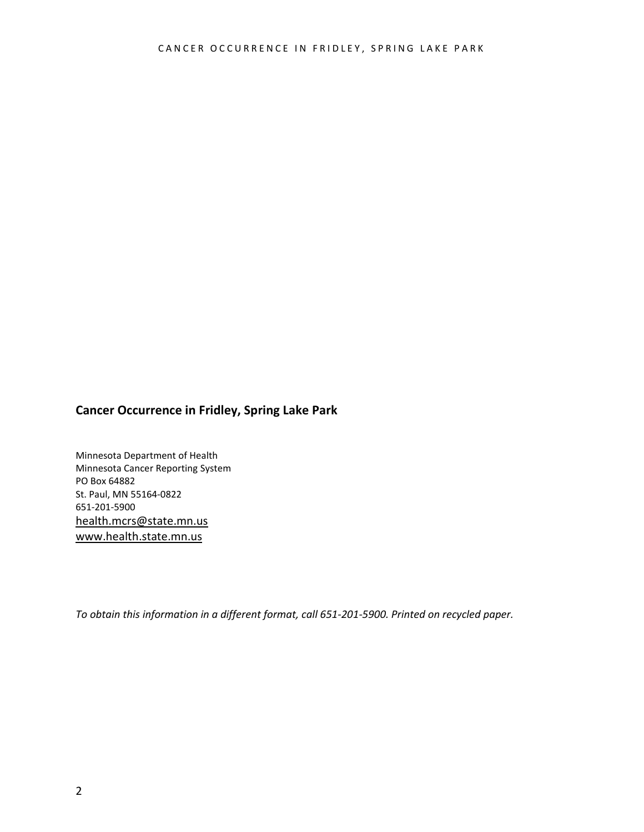#### **Cancer Occurrence in Fridley, Spring Lake Park**

Minnesota Department of Health Minnesota Cancer Reporting System PO Box 64882 St. Paul, MN 55164-0822 651-201-5900 [health.mcrs@state.mn.us](mailto:health.mcrs@state.mn.us) [www.health.state.mn.us](https://www.health.state.mn.us/)

*To obtain this information in a different format, call 651-201-5900. Printed on recycled paper.*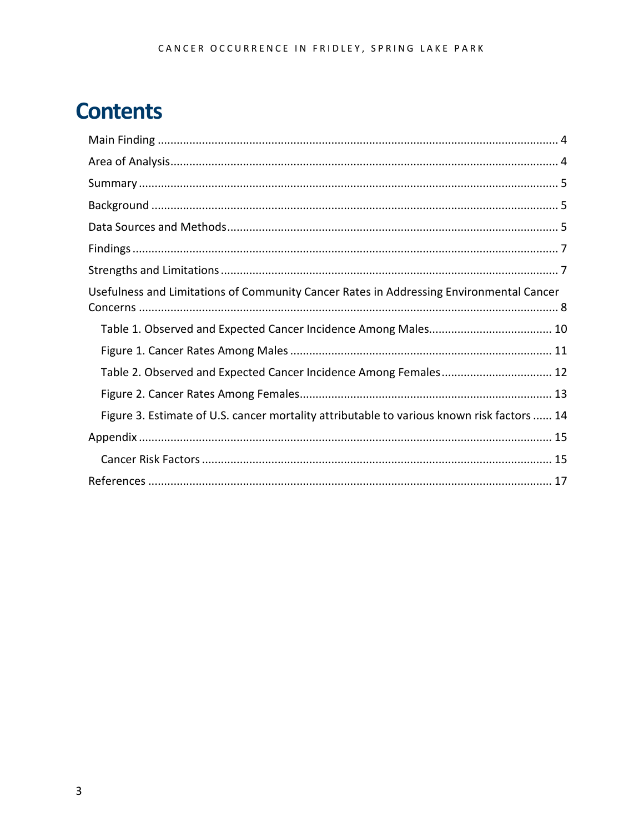# **Contents**

| Usefulness and Limitations of Community Cancer Rates in Addressing Environmental Cancer    |
|--------------------------------------------------------------------------------------------|
|                                                                                            |
|                                                                                            |
| Table 2. Observed and Expected Cancer Incidence Among Females 12                           |
|                                                                                            |
| Figure 3. Estimate of U.S. cancer mortality attributable to various known risk factors  14 |
|                                                                                            |
|                                                                                            |
|                                                                                            |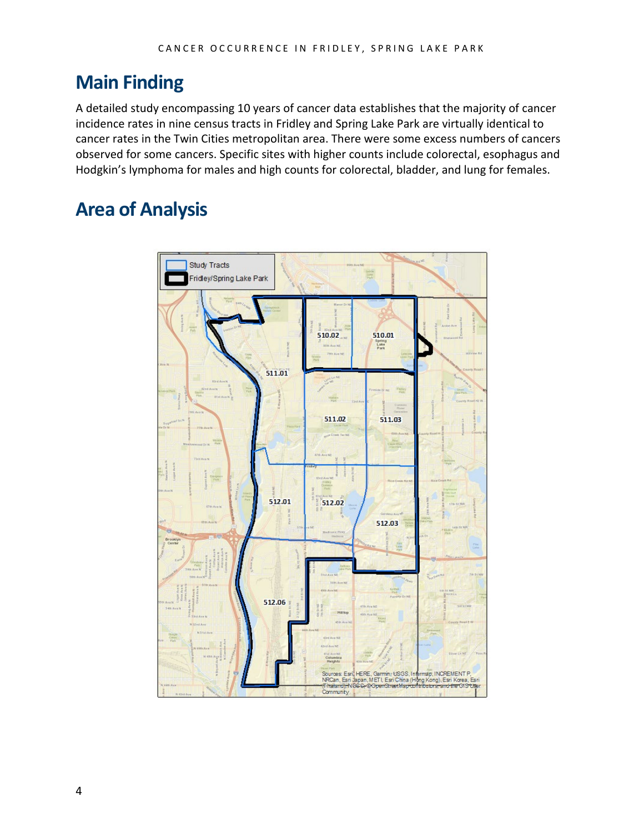## <span id="page-3-0"></span>**Main Finding**

A detailed study encompassing 10 years of cancer data establishes that the majority of cancer incidence rates in nine census tracts in Fridley and Spring Lake Park are virtually identical to cancer rates in the Twin Cities metropolitan area. There were some excess numbers of cancers observed for some cancers. Specific sites with higher counts include colorectal, esophagus and Hodgkin's lymphoma for males and high counts for colorectal, bladder, and lung for females.

## <span id="page-3-1"></span>**Area of Analysis**

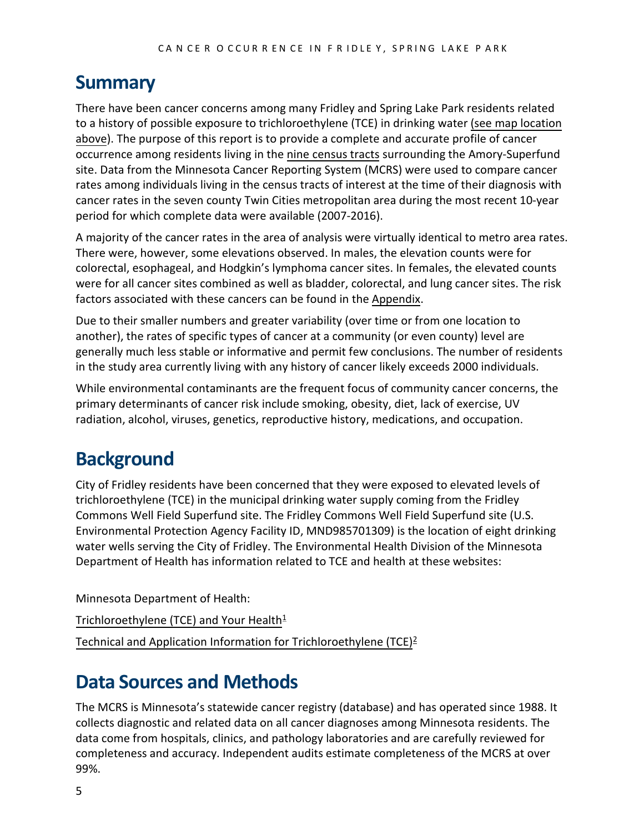### <span id="page-4-0"></span>**Summary**

There have been cancer concerns among many Fridley and Spring Lake Park residents related to a history of possible exposure to trichloroethylene (TCE) in drinking water (see [map location](#page-3-1) [above\)](#page-3-1). The purpose of this report is to provide a complete and accurate profile of cancer occurrence among residents living in the nine [census tracts](#page-3-1) surrounding the Amory-Superfund site. Data from the Minnesota Cancer Reporting System (MCRS) were used to compare cancer rates among individuals living in the census tracts of interest at the time of their diagnosis with cancer rates in the seven county Twin Cities metropolitan area during the most recent 10-year period for which complete data were available (2007-2016).

A majority of the cancer rates in the area of analysis were virtually identical to metro area rates. There were, however, some elevations observed. In males, the elevation counts were for colorectal, esophageal, and Hodgkin's lymphoma cancer sites. In females, the elevated counts were for all cancer sites combined as well as bladder, colorectal, and lung cancer sites. The risk factors associated with these cancers can be found in the [Appendix.](#page-13-1)

Due to their smaller numbers and greater variability (over time or from one location to another), the rates of specific types of cancer at a community (or even county) level are generally much less stable or informative and permit few conclusions. The number of residents in the study area currently living with any history of cancer likely exceeds 2000 individuals.

While environmental contaminants are the frequent focus of community cancer concerns, the primary determinants of cancer risk include smoking, obesity, diet, lack of exercise, UV radiation, alcohol, viruses, genetics, reproductive history, medications, and occupation.

## <span id="page-4-1"></span>**Background**

City of Fridley residents have been concerned that they were exposed to elevated levels of trichloroethylene (TCE) in the municipal drinking water supply coming from the Fridley Commons Well Field Superfund site. The Fridley Commons Well Field Superfund site (U.S. Environmental Protection Agency Facility ID, MND985701309) is the location of eight drinking water wells serving the City of Fridley. The Environmental Health Division of the Minnesota Department of Health has information related to TCE and health at these websites:

Minnesota Department of Health:

[Trichloroethylene \(TCE\) and](#page-16-1) Your Health $1/2$  $1/2$ [Technical and Application Information for Trichloroethylene \(TCE\)](#page-16-2)[2](#page-16-4)

## <span id="page-4-2"></span>**Data Sources and Methods**

The MCRS is Minnesota's statewide cancer registry (database) and has operated since 1988. It collects diagnostic and related data on all cancer diagnoses among Minnesota residents. The data come from hospitals, clinics, and pathology laboratories and are carefully reviewed for completeness and accuracy. Independent audits estimate completeness of the MCRS at over 99%.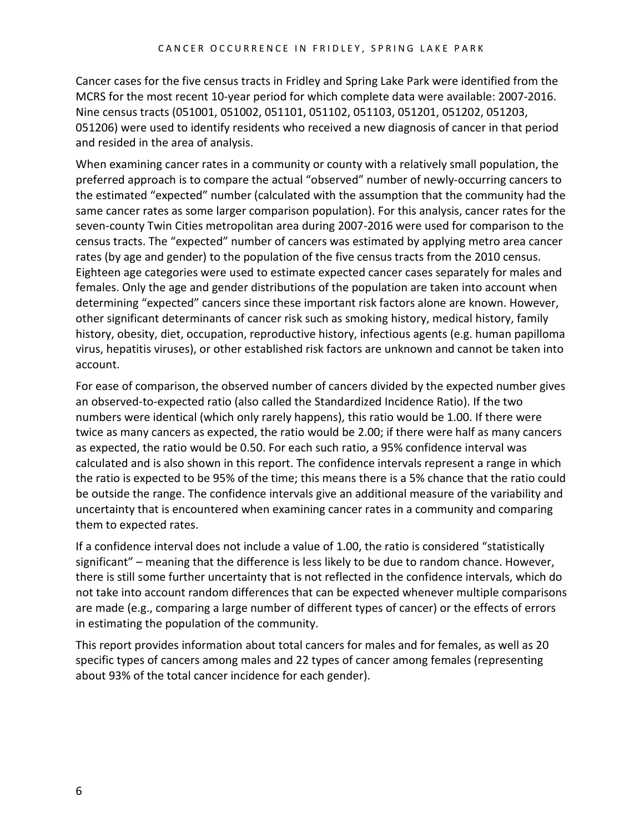Cancer cases for the five census tracts in Fridley and Spring Lake Park were identified from the MCRS for the most recent 10-year period for which complete data were available: 2007-2016. Nine census tracts (051001, 051002, 051101, 051102, 051103, 051201, 051202, 051203, 051206) were used to identify residents who received a new diagnosis of cancer in that period and resided in the area of analysis.

When examining cancer rates in a community or county with a relatively small population, the preferred approach is to compare the actual "observed" number of newly-occurring cancers to the estimated "expected" number (calculated with the assumption that the community had the same cancer rates as some larger comparison population). For this analysis, cancer rates for the seven-county Twin Cities metropolitan area during 2007-2016 were used for comparison to the census tracts. The "expected" number of cancers was estimated by applying metro area cancer rates (by age and gender) to the population of the five census tracts from the 2010 census. Eighteen age categories were used to estimate expected cancer cases separately for males and females. Only the age and gender distributions of the population are taken into account when determining "expected" cancers since these important risk factors alone are known. However, other significant determinants of cancer risk such as smoking history, medical history, family history, obesity, diet, occupation, reproductive history, infectious agents (e.g. human papilloma virus, hepatitis viruses), or other established risk factors are unknown and cannot be taken into account.

For ease of comparison, the observed number of cancers divided by the expected number gives an observed-to-expected ratio (also called the Standardized Incidence Ratio). If the two numbers were identical (which only rarely happens), this ratio would be 1.00. If there were twice as many cancers as expected, the ratio would be 2.00; if there were half as many cancers as expected, the ratio would be 0.50. For each such ratio, a 95% confidence interval was calculated and is also shown in this report. The confidence intervals represent a range in which the ratio is expected to be 95% of the time; this means there is a 5% chance that the ratio could be outside the range. The confidence intervals give an additional measure of the variability and uncertainty that is encountered when examining cancer rates in a community and comparing them to expected rates.

If a confidence interval does not include a value of 1.00, the ratio is considered "statistically significant" – meaning that the difference is less likely to be due to random chance. However, there is still some further uncertainty that is not reflected in the confidence intervals, which do not take into account random differences that can be expected whenever multiple comparisons are made (e.g., comparing a large number of different types of cancer) or the effects of errors in estimating the population of the community.

This report provides information about total cancers for males and for females, as well as 20 specific types of cancers among males and 22 types of cancer among females (representing about 93% of the total cancer incidence for each gender).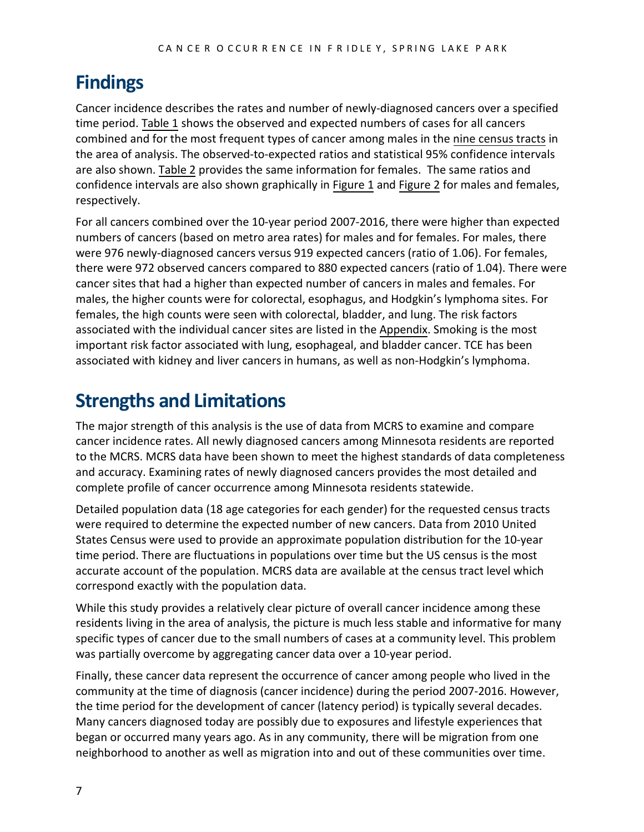## <span id="page-6-0"></span>**Findings**

Cancer incidence describes the rates and number of newly-diagnosed cancers over a specified time period. [Table 1](#page-9-0) shows the observed and expected numbers of cases for all cancers combined and for the most frequent types of cancer among males in the [nine census tracts](#page-3-1) in the area of analysis. The observed-to-expected ratios and statistical 95% confidence intervals are also shown. [Table 2](#page-10-1) provides the same information for females. The same ratios and confidence intervals are also shown graphically in [Figure](#page-10-0) 1 and [Figure](#page-11-1) 2 for males and females, respectively.

For all cancers combined over the 10-year period 2007-2016, there were higher than expected numbers of cancers (based on metro area rates) for males and for females. For males, there were 976 newly-diagnosed cancers versus 919 expected cancers (ratio of 1.06). For females, there were 972 observed cancers compared to 880 expected cancers (ratio of 1.04). There were cancer sites that had a higher than expected number of cancers in males and females. For males, the higher counts were for colorectal, esophagus, and Hodgkin's lymphoma sites. For females, the high counts were seen with colorectal, bladder, and lung. The risk factors associated with the individual cancer sites are listed in the [Appendix.](#page-14-0) Smoking is the most important risk factor associated with lung, esophageal, and bladder cancer. TCE has been associated with kidney and liver cancers in humans, as well as non-Hodgkin's lymphoma.

## <span id="page-6-1"></span>**Strengths and Limitations**

The major strength of this analysis is the use of data from MCRS to examine and compare cancer incidence rates. All newly diagnosed cancers among Minnesota residents are reported to the MCRS. MCRS data have been shown to meet the highest standards of data completeness and accuracy. Examining rates of newly diagnosed cancers provides the most detailed and complete profile of cancer occurrence among Minnesota residents statewide.

Detailed population data (18 age categories for each gender) for the requested census tracts were required to determine the expected number of new cancers. Data from 2010 United States Census were used to provide an approximate population distribution for the 10-year time period. There are fluctuations in populations over time but the US census is the most accurate account of the population. MCRS data are available at the census tract level which correspond exactly with the population data.

While this study provides a relatively clear picture of overall cancer incidence among these residents living in the area of analysis, the picture is much less stable and informative for many specific types of cancer due to the small numbers of cases at a community level. This problem was partially overcome by aggregating cancer data over a 10-year period.

Finally, these cancer data represent the occurrence of cancer among people who lived in the community at the time of diagnosis (cancer incidence) during the period 2007-2016. However, the time period for the development of cancer (latency period) is typically several decades. Many cancers diagnosed today are possibly due to exposures and lifestyle experiences that began or occurred many years ago. As in any community, there will be migration from one neighborhood to another as well as migration into and out of these communities over time.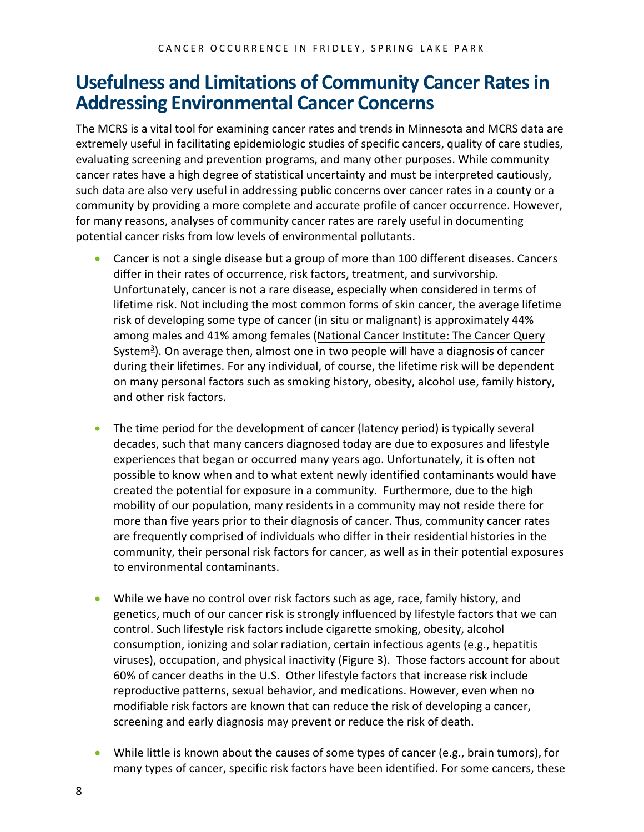### <span id="page-7-0"></span>**Usefulness and Limitations of Community Cancer Rates in Addressing Environmental Cancer Concerns**

The MCRS is a vital tool for examining cancer rates and trends in Minnesota and MCRS data are extremely useful in facilitating epidemiologic studies of specific cancers, quality of care studies, evaluating screening and prevention programs, and many other purposes. While community cancer rates have a high degree of statistical uncertainty and must be interpreted cautiously, such data are also very useful in addressing public concerns over cancer rates in a county or a community by providing a more complete and accurate profile of cancer occurrence. However, for many reasons, analyses of community cancer rates are rarely useful in documenting potential cancer risks from low levels of environmental pollutants.

- Cancer is not a single disease but a group of more than 100 different diseases. Cancers differ in their rates of occurrence, risk factors, treatment, and survivorship. Unfortunately, cancer is not a rare disease, especially when considered in terms of lifetime risk. Not including the most common forms of skin cancer, the average lifetime risk of developing some type of cancer (in situ or malignant) is approximately 44% among males and 41% among females (National [Cancer Institute: The Cancer Query](#page-16-5) [System](#page-16-5)<sup>[3](#page-16-6)</sup>). On average then, almost one in two people will have a diagnosis of cancer during their lifetimes. For any individual, of course, the lifetime risk will be dependent on many personal factors such as smoking history, obesity, alcohol use, family history, and other risk factors.
- The time period for the development of cancer (latency period) is typically several decades, such that many cancers diagnosed today are due to exposures and lifestyle experiences that began or occurred many years ago. Unfortunately, it is often not possible to know when and to what extent newly identified contaminants would have created the potential for exposure in a community. Furthermore, due to the high mobility of our population, many residents in a community may not reside there for more than five years prior to their diagnosis of cancer. Thus, community cancer rates are frequently comprised of individuals who differ in their residential histories in the community, their personal risk factors for cancer, as well as in their potential exposures to environmental contaminants.
- While we have no control over risk factors such as age, race, family history, and genetics, much of our cancer risk is strongly influenced by lifestyle factors that we can control. Such lifestyle risk factors include cigarette smoking, obesity, alcohol consumption, ionizing and solar radiation, certain infectious agents (e.g., hepatitis viruses), occupation, and physical inactivity [\(Figure 3\)](#page-13-0). Those factors account for about 60% of cancer deaths in the U.S. Other lifestyle factors that increase risk include reproductive patterns, sexual behavior, and medications. However, even when no modifiable risk factors are known that can reduce the risk of developing a cancer, screening and early diagnosis may prevent or reduce the risk of death.
- While little is known about the causes of some types of cancer (e.g., brain tumors), for many types of cancer, specific risk factors have been identified. For some cancers, these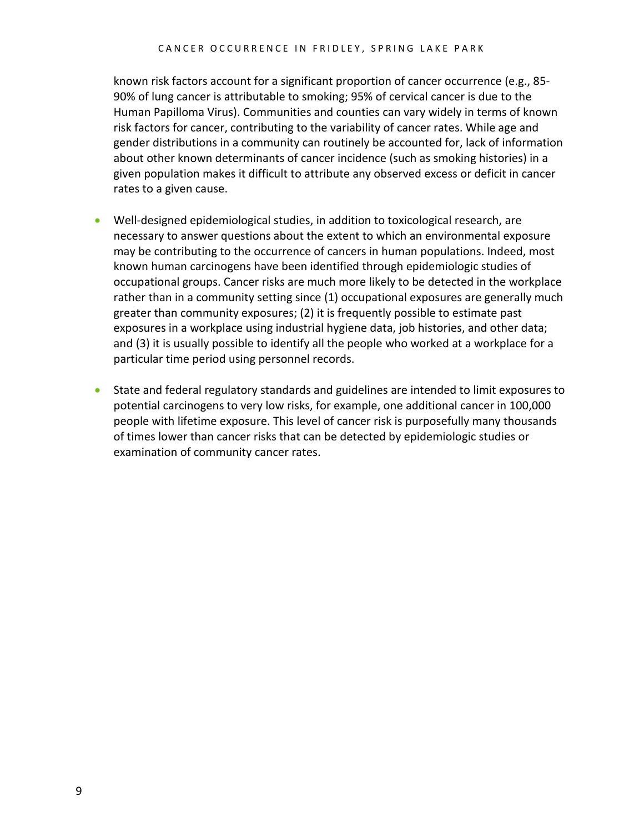known risk factors account for a significant proportion of cancer occurrence (e.g., 85- 90% of lung cancer is attributable to smoking; 95% of cervical cancer is due to the Human Papilloma Virus). Communities and counties can vary widely in terms of known risk factors for cancer, contributing to the variability of cancer rates. While age and gender distributions in a community can routinely be accounted for, lack of information about other known determinants of cancer incidence (such as smoking histories) in a given population makes it difficult to attribute any observed excess or deficit in cancer rates to a given cause.

- Well-designed epidemiological studies, in addition to toxicological research, are necessary to answer questions about the extent to which an environmental exposure may be contributing to the occurrence of cancers in human populations. Indeed, most known human carcinogens have been identified through epidemiologic studies of occupational groups. Cancer risks are much more likely to be detected in the workplace rather than in a community setting since (1) occupational exposures are generally much greater than community exposures; (2) it is frequently possible to estimate past exposures in a workplace using industrial hygiene data, job histories, and other data; and (3) it is usually possible to identify all the people who worked at a workplace for a particular time period using personnel records.
- State and federal regulatory standards and guidelines are intended to limit exposures to potential carcinogens to very low risks, for example, one additional cancer in 100,000 people with lifetime exposure. This level of cancer risk is purposefully many thousands of times lower than cancer risks that can be detected by epidemiologic studies or examination of community cancer rates.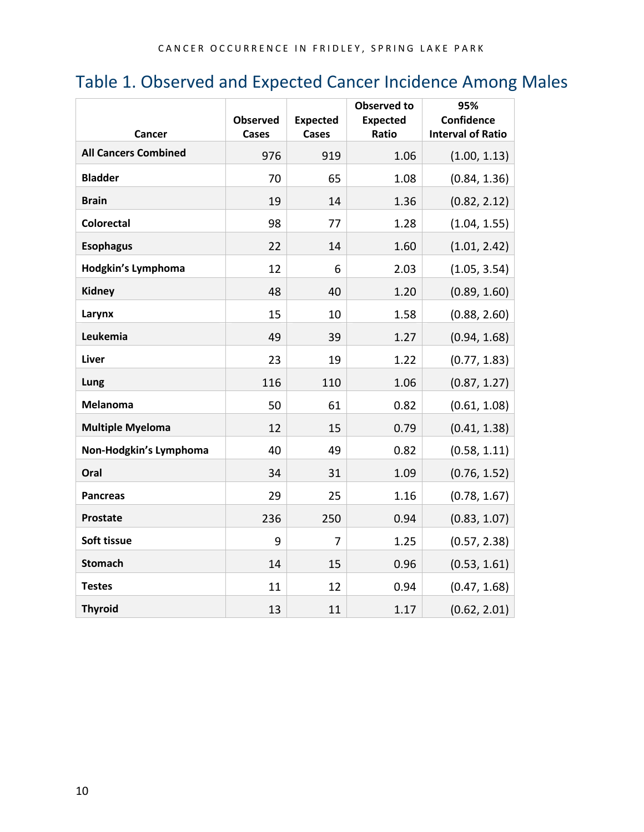## <span id="page-9-0"></span>Table 1. Observed and Expected Cancer Incidence Among Males

|                             |                                 |                                 | <b>Observed to</b>       | 95%<br>Confidence        |
|-----------------------------|---------------------------------|---------------------------------|--------------------------|--------------------------|
| Cancer                      | <b>Observed</b><br><b>Cases</b> | <b>Expected</b><br><b>Cases</b> | <b>Expected</b><br>Ratio | <b>Interval of Ratio</b> |
| <b>All Cancers Combined</b> | 976                             | 919                             | 1.06                     | (1.00, 1.13)             |
| <b>Bladder</b>              | 70                              | 65                              | 1.08                     | (0.84, 1.36)             |
| <b>Brain</b>                | 19                              | 14                              | 1.36                     | (0.82, 2.12)             |
| <b>Colorectal</b>           | 98                              | 77                              | 1.28                     | (1.04, 1.55)             |
| <b>Esophagus</b>            | 22                              | 14                              | 1.60                     | (1.01, 2.42)             |
| Hodgkin's Lymphoma          | 12                              | 6                               | 2.03                     | (1.05, 3.54)             |
| <b>Kidney</b>               | 48                              | 40                              | 1.20                     | (0.89, 1.60)             |
| Larynx                      | 15                              | 10                              | 1.58                     | (0.88, 2.60)             |
| Leukemia                    | 49                              | 39                              | 1.27                     | (0.94, 1.68)             |
| <b>Liver</b>                | 23                              | 19                              | 1.22                     | (0.77, 1.83)             |
| Lung                        | 116                             | 110                             | 1.06                     | (0.87, 1.27)             |
| Melanoma                    | 50                              | 61                              | 0.82                     | (0.61, 1.08)             |
| <b>Multiple Myeloma</b>     | 12                              | 15                              | 0.79                     | (0.41, 1.38)             |
| Non-Hodgkin's Lymphoma      | 40                              | 49                              | 0.82                     | (0.58, 1.11)             |
| Oral                        | 34                              | 31                              | 1.09                     | (0.76, 1.52)             |
| <b>Pancreas</b>             | 29                              | 25                              | 1.16                     | (0.78, 1.67)             |
| <b>Prostate</b>             | 236                             | 250                             | 0.94                     | (0.83, 1.07)             |
| Soft tissue                 | 9                               | 7                               | 1.25                     | (0.57, 2.38)             |
| <b>Stomach</b>              | 14                              | 15                              | 0.96                     | (0.53, 1.61)             |
| <b>Testes</b>               | 11                              | 12                              | 0.94                     | (0.47, 1.68)             |
| <b>Thyroid</b>              | 13                              | 11                              | 1.17                     | (0.62, 2.01)             |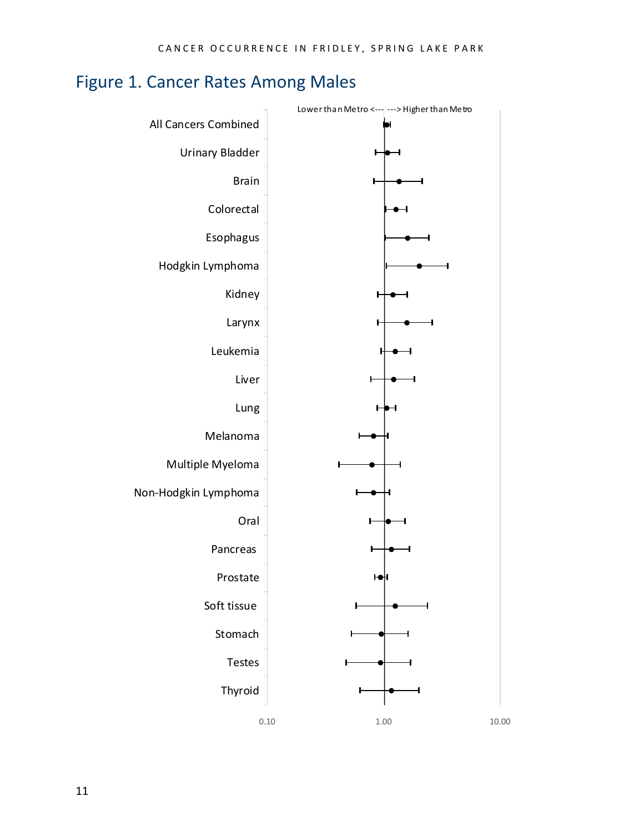### <span id="page-10-0"></span>Figure 1. Cancer Rates Among Males

<span id="page-10-1"></span>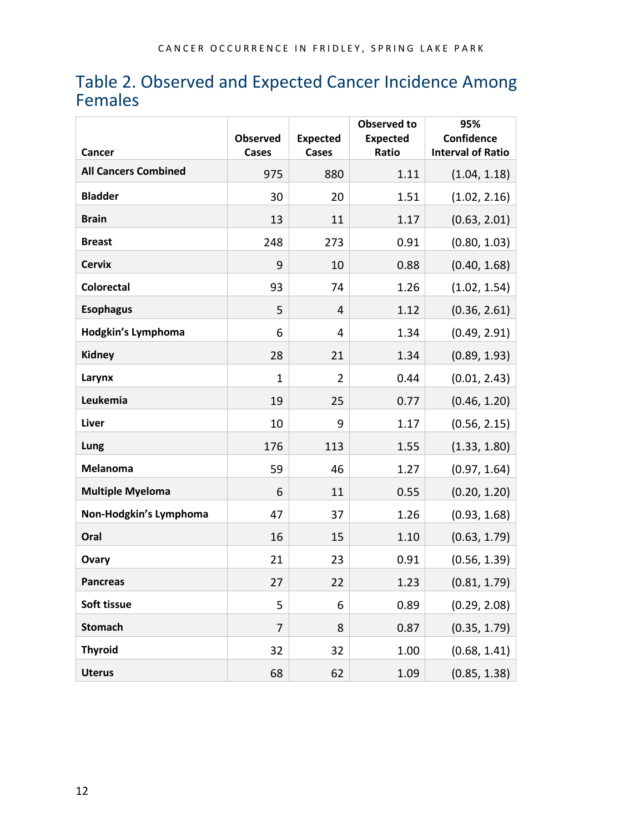### <span id="page-11-0"></span>Table 2. Observed and Expected Cancer Incidence Among Females

<span id="page-11-1"></span>

| Cancer                      | <b>Observed</b><br>Cases | <b>Expected</b><br>Cases | <b>Observed to</b><br><b>Expected</b><br>Ratio | 95%<br><b>Confidence</b><br><b>Interval of Ratio</b> |
|-----------------------------|--------------------------|--------------------------|------------------------------------------------|------------------------------------------------------|
| <b>All Cancers Combined</b> | 975                      | 880                      | 1.11                                           | (1.04, 1.18)                                         |
| <b>Bladder</b>              | 30                       | 20                       | 1.51                                           | (1.02, 2.16)                                         |
| <b>Brain</b>                | 13                       | 11                       | 1.17                                           | (0.63, 2.01)                                         |
| <b>Breast</b>               | 248                      | 273                      | 0.91                                           | (0.80, 1.03)                                         |
| <b>Cervix</b>               | 9                        | 10                       | 0.88                                           | (0.40, 1.68)                                         |
| <b>Colorectal</b>           | 93                       | 74                       | 1.26                                           | (1.02, 1.54)                                         |
| <b>Esophagus</b>            | 5                        | 4                        | 1.12                                           | (0.36, 2.61)                                         |
| Hodgkin's Lymphoma          | 6                        | 4                        | 1.34                                           | (0.49, 2.91)                                         |
| <b>Kidney</b>               | 28                       | 21                       | 1.34                                           | (0.89, 1.93)                                         |
| Larynx                      | 1                        | $\overline{2}$           | 0.44                                           | (0.01, 2.43)                                         |
| Leukemia                    | 19                       | 25                       | 0.77                                           | (0.46, 1.20)                                         |
| Liver                       | 10                       | 9                        | 1.17                                           | (0.56, 2.15)                                         |
| Lung                        | 176                      | 113                      | 1.55                                           | (1.33, 1.80)                                         |
| Melanoma                    | 59                       | 46                       | 1.27                                           | (0.97, 1.64)                                         |
| <b>Multiple Myeloma</b>     | 6                        | 11                       | 0.55                                           | (0.20, 1.20)                                         |
| Non-Hodgkin's Lymphoma      | 47                       | 37                       | 1.26                                           | (0.93, 1.68)                                         |
| Oral                        | 16                       | 15                       | 1.10                                           | (0.63, 1.79)                                         |
| Ovary                       | 21                       | 23                       | 0.91                                           | (0.56, 1.39)                                         |
| <b>Pancreas</b>             | 27                       | 22                       | 1.23                                           | (0.81, 1.79)                                         |
| Soft tissue                 | 5                        | 6                        | 0.89                                           | (0.29, 2.08)                                         |
| <b>Stomach</b>              | $\overline{7}$           | 8                        | 0.87                                           | (0.35, 1.79)                                         |
| <b>Thyroid</b>              | 32                       | 32                       | 1.00                                           | (0.68, 1.41)                                         |
| <b>Uterus</b>               | 68                       | 62                       | 1.09                                           | (0.85, 1.38)                                         |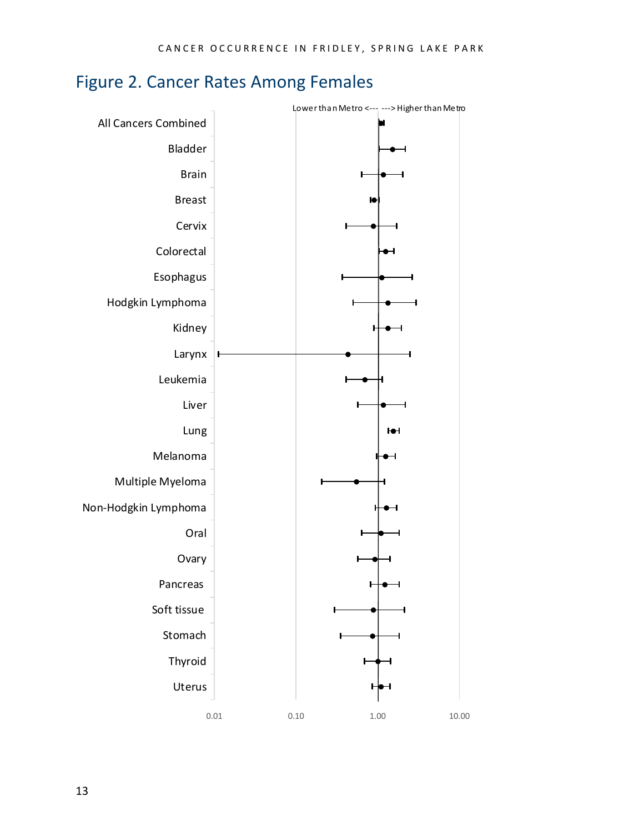### <span id="page-12-0"></span>Figure 2. Cancer Rates Among Females

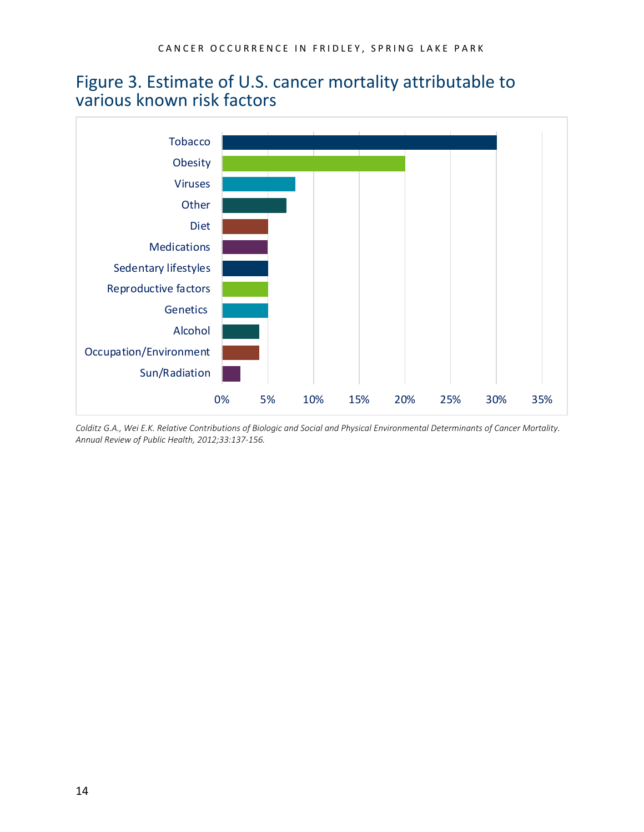#### <span id="page-13-0"></span>Figure 3. Estimate of U.S. cancer mortality attributable to various known risk factors



<span id="page-13-1"></span>*Colditz G.A., Wei E.K. Relative Contributions of Biologic and Social and Physical Environmental Determinants of Cancer Mortality. Annual Review of Public Health, 2012;33:137-156.*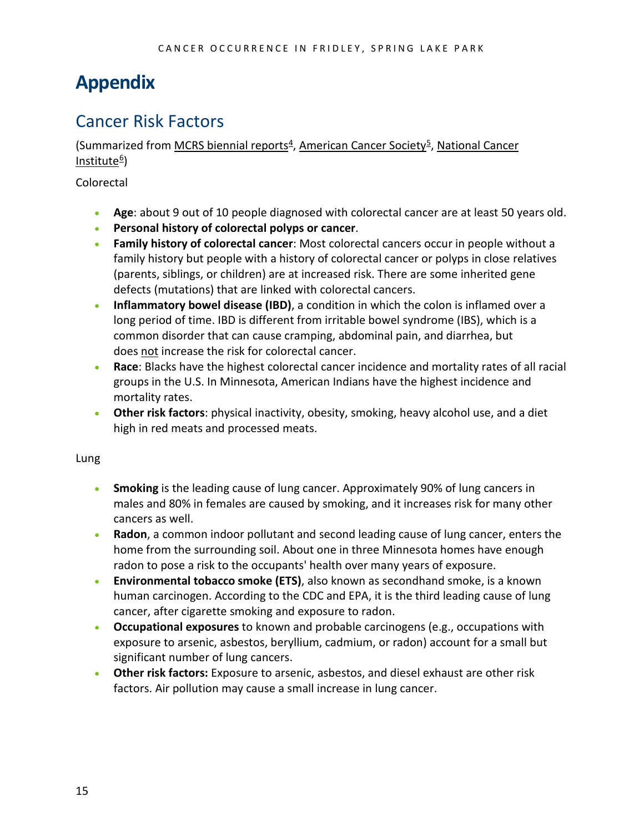## <span id="page-14-0"></span>**Appendix**

#### <span id="page-14-1"></span>Cancer Risk Factors

(Summarized from MCRS biennial reports<sup>4</sup>, American Cancer Society<sup>5</sup>, National Cancer Institute $6$ )

Colorectal

- **Age**: about 9 out of 10 people diagnosed with colorectal cancer are at least 50 years old.
- **Personal history of colorectal polyps or cancer**.
- **Family history of colorectal cancer**: Most colorectal cancers occur in people without a family history but people with a history of colorectal cancer or polyps in close relatives (parents, siblings, or children) are at increased risk. There are some inherited gene defects (mutations) that are linked with colorectal cancers.
- **Inflammatory bowel disease (IBD)**, a condition in which the colon is inflamed over a long period of time. IBD is different from irritable bowel syndrome (IBS), which is a common disorder that can cause cramping, abdominal pain, and diarrhea, but does not increase the risk for colorectal cancer.
- **Race**: Blacks have the highest colorectal cancer incidence and mortality rates of all racial groups in the U.S. In Minnesota, American Indians have the highest incidence and mortality rates.
- **Other risk factors**: physical inactivity, obesity, smoking, heavy alcohol use, and a diet high in red meats and processed meats.

#### Lung

- **Smoking** is the leading cause of lung cancer. Approximately 90% of lung cancers in males and 80% in females are caused by smoking, and it increases risk for many other cancers as well.
- **Radon**, a common indoor pollutant and second leading cause of lung cancer, enters the home from the surrounding soil. About one in three Minnesota homes have enough radon to pose a risk to the occupants' health over many years of exposure.
- **Environmental tobacco smoke (ETS)**, also known as secondhand smoke, is a known human carcinogen. According to the CDC and EPA, it is the third leading cause of lung cancer, after cigarette smoking and exposure to radon.
- **Occupational exposures** to known and probable carcinogens (e.g., occupations with exposure to arsenic, asbestos, beryllium, cadmium, or radon) account for a small but significant number of lung cancers.
- **Other risk factors:** Exposure to arsenic, asbestos, and diesel exhaust are other risk factors. Air pollution may cause a small increase in lung cancer.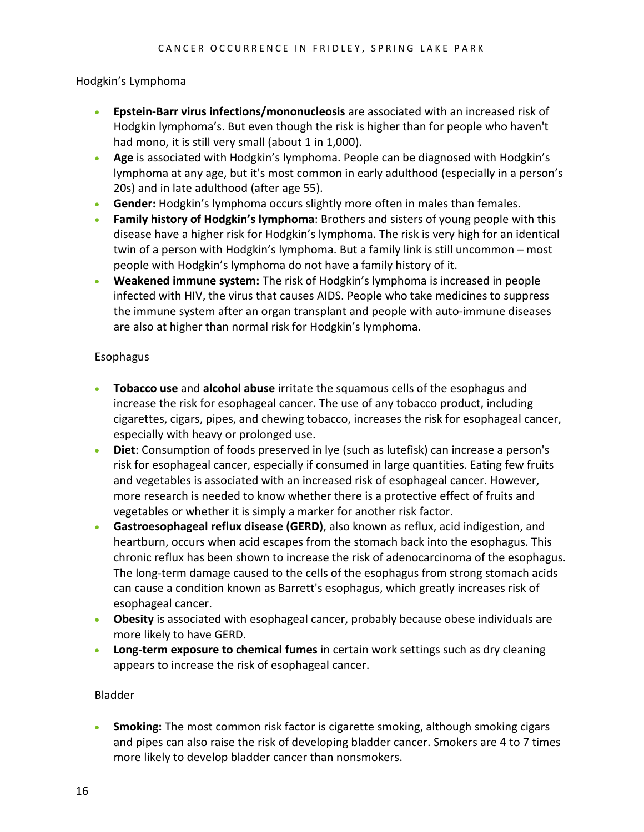#### Hodgkin's Lymphoma

- **Epstein-Barr virus infections/mononucleosis** are associated with an increased risk of Hodgkin lymphoma's. But even though the risk is higher than for people who haven't had mono, it is still very small (about 1 in 1,000).
- **Age** is associated with Hodgkin's lymphoma. People can be diagnosed with Hodgkin's lymphoma at any age, but it's most common in early adulthood (especially in a person's 20s) and in late adulthood (after age 55).
- **Gender:** Hodgkin's lymphoma occurs slightly more often in males than females.
- **Family history of Hodgkin's lymphoma**: Brothers and sisters of young people with this disease have a higher risk for Hodgkin's lymphoma. The risk is very high for an identical twin of a person with Hodgkin's lymphoma. But a family link is still uncommon – most people with Hodgkin's lymphoma do not have a family history of it.
- **Weakened immune system:** The risk of Hodgkin's lymphoma is increased in people infected with [HIV,](https://www.cancer.org/cancer/cancer-causes/infectious-agents/hiv-infection-aids.html) the virus that causes AIDS. People who take medicines to suppress the immune system after an organ transplant and people with auto-immune diseases are also at higher than normal risk for Hodgkin's lymphoma.

#### Esophagus

- **Tobacco use** and **alcohol abuse** irritate the squamous cells of the esophagus and increase the risk for esophageal cancer. The use of any tobacco product, including cigarettes, cigars, pipes, and chewing tobacco, increases the risk for esophageal cancer, especially with heavy or prolonged use.
- **Diet**: Consumption of foods preserved in lye (such as lutefisk) can increase a person's risk for esophageal cancer, especially if consumed in large quantities. Eating few fruits and vegetables is associated with an increased risk of esophageal cancer. However, more research is needed to know whether there is a protective effect of fruits and vegetables or whether it is simply a marker for another risk factor.
- **Gastroesophageal reflux disease (GERD)**, also known as reflux, acid indigestion, and heartburn, occurs when acid escapes from the stomach back into the esophagus. This chronic reflux has been shown to increase the risk of adenocarcinoma of the esophagus. The long-term damage caused to the cells of the esophagus from strong stomach acids can cause a condition known as Barrett's esophagus, which greatly increases risk of esophageal cancer.
- **Obesity** is associated with esophageal cancer, probably because obese individuals are more likely to have GERD.
- **Long-term exposure to chemical fumes** in certain work settings such as dry cleaning appears to increase the risk of esophageal cancer.

#### Bladder

• **Smoking:** The most common risk factor is cigarette smoking, although smoking cigars and pipes can also raise the risk of developing bladder cancer. Smokers are 4 to 7 times more likely to develop bladder cancer than nonsmokers.